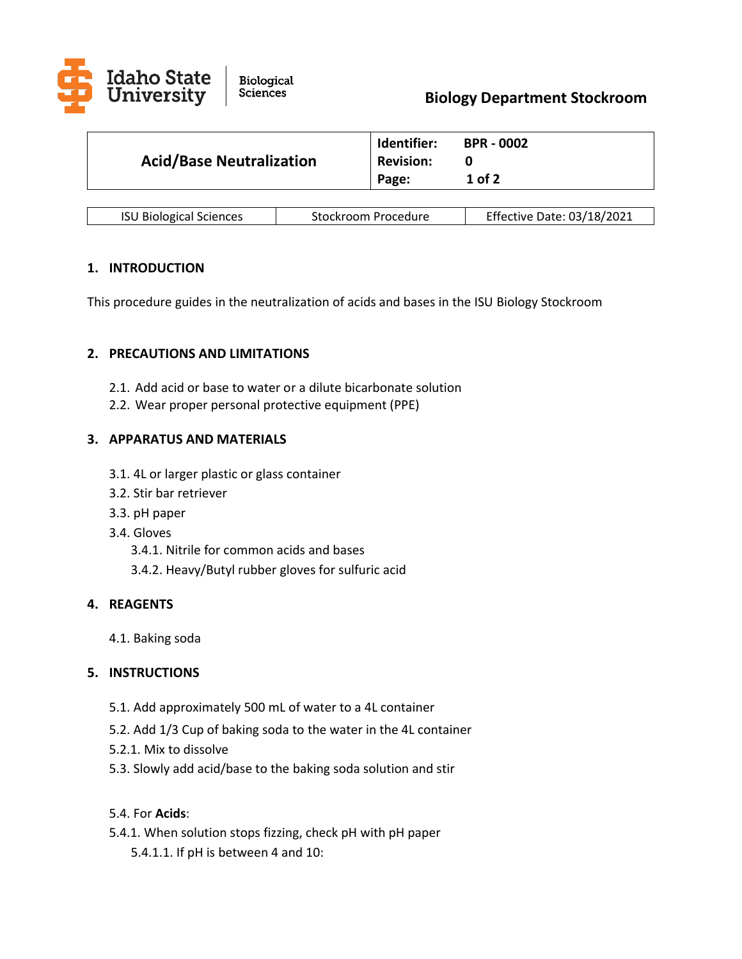

| <b>Acid/Base Neutralization</b> | Identifier:<br><b>Revision:</b><br>Page: | <b>BPR - 0002</b><br>1 of 2 |
|---------------------------------|------------------------------------------|-----------------------------|
|                                 |                                          |                             |

| <b>ISU Biological Sciences</b> | Stockroom Procedure | Effective Date: 03/18/2021 |
|--------------------------------|---------------------|----------------------------|
|--------------------------------|---------------------|----------------------------|

## **1. INTRODUCTION**

This procedure guides in the neutralization of acids and bases in the ISU Biology Stockroom

## **2. PRECAUTIONS AND LIMITATIONS**

- 2.1. Add acid or base to water or a dilute bicarbonate solution
- 2.2. Wear proper personal protective equipment (PPE)

# **3. APPARATUS AND MATERIALS**

- 3.1. 4L or larger plastic or glass container
- 3.2. Stir bar retriever
- 3.3. pH paper
- 3.4. Gloves
	- 3.4.1. Nitrile for common acids and bases
	- 3.4.2. Heavy/Butyl rubber gloves for sulfuric acid

### **4. REAGENTS**

4.1. Baking soda

### **5. INSTRUCTIONS**

- 5.1. Add approximately 500 mL of water to a 4L container
- 5.2. Add 1/3 Cup of baking soda to the water in the 4L container
- 5.2.1. Mix to dissolve
- 5.3. Slowly add acid/base to the baking soda solution and stir

# 5.4. For **Acids**:

5.4.1. When solution stops fizzing, check pH with pH paper 5.4.1.1. If pH is between 4 and 10: